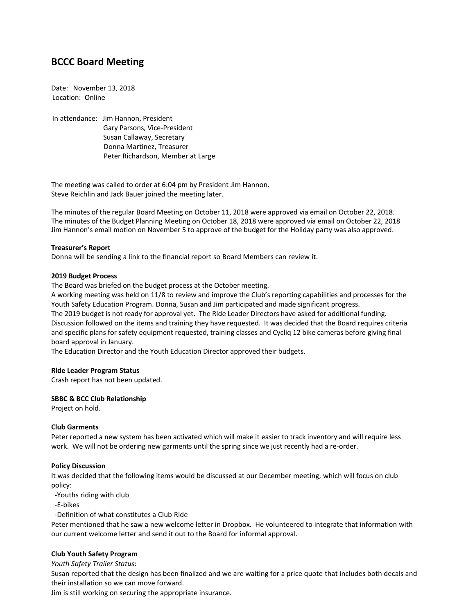# **BCCC Board Meeting**

Date: November 13, 2018 Location: Online

In attendance: Jim Hannon, President Gary Parsons, Vice-President Susan Callaway, Secretary Donna Martinez, Treasurer Peter Richardson, Member at Large

The meeting was called to order at 6:04 pm by President Jim Hannon. Steve Reichlin and Jack Bauer joined the meeting later.

The minutes of the regular Board Meeting on October 11, 2018 were approved via email on October 22, 2018. The minutes of the Budget Planning Meeting on October 18, 2018 were approved via email on October 22, 2018 Jim Hannon's email motion on November 5 to approve of the budget for the Holiday party was also approved.

#### **Treasurer's Report**

Donna will be sending a link to the financial report so Board Members can review it.

#### **2019 Budget Process**

The Board was briefed on the budget process at the October meeting.

A working meeting was held on 11/8 to review and improve the Club's reporting capabilities and processes for the Youth Safety Education Program. Donna, Susan and Jim participated and made significant progress. The 2019 budget is not ready for approval yet. The Ride Leader Directors have asked for additional funding.

Discussion followed on the items and training they have requested. It was decided that the Board requires criteria and specific plans for safety equipment requested, training classes and Cycliq 12 bike cameras before giving final board approval in January.

The Education Director and the Youth Education Director approved their budgets.

#### **Ride Leader Program Status**

Crash report has not been updated.

# **SBBC & BCC Club Relationship**

Project on hold.

# **Club Garments**

Peter reported a new system has been activated which will make it easier to track inventory and will require less work. We will not be ordering new garments until the spring since we just recently had a re-order.

# **Policy Discussion**

It was decided that the following items would be discussed at our December meeting, which will focus on club policy:

-Youths riding with club

-E-bikes

-Definition of what constitutes a Club Ride

Peter mentioned that he saw a new welcome letter in Dropbox. He volunteered to integrate that information with our current welcome letter and send it out to the Board for informal approval.

# **Club Youth Safety Program**

*Youth Safety Trailer Status*:

Susan reported that the design has been finalized and we are waiting for a price quote that includes both decals and their installation so we can move forward.

Jim is still working on securing the appropriate insurance.